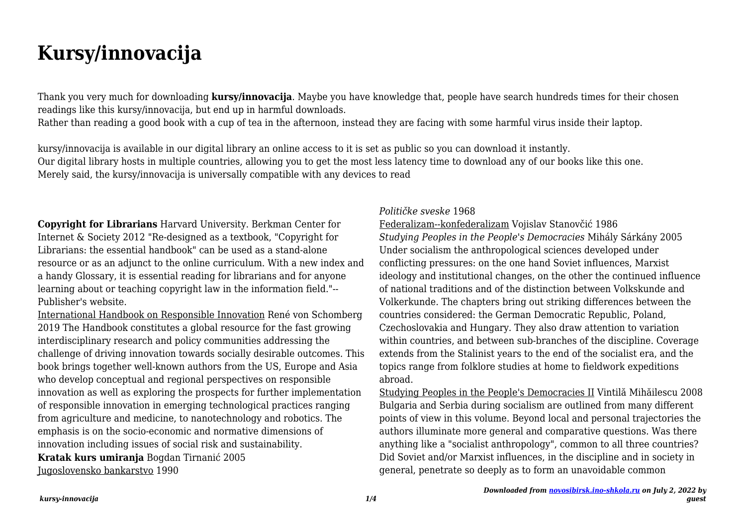# **Kursy/innovacija**

Thank you very much for downloading **kursy/innovacija**. Maybe you have knowledge that, people have search hundreds times for their chosen readings like this kursy/innovacija, but end up in harmful downloads.

Rather than reading a good book with a cup of tea in the afternoon, instead they are facing with some harmful virus inside their laptop.

kursy/innovacija is available in our digital library an online access to it is set as public so you can download it instantly. Our digital library hosts in multiple countries, allowing you to get the most less latency time to download any of our books like this one. Merely said, the kursy/innovacija is universally compatible with any devices to read

**Copyright for Librarians** Harvard University. Berkman Center for Internet & Society 2012 "Re-designed as a textbook, "Copyright for Librarians: the essential handbook" can be used as a stand-alone resource or as an adjunct to the online curriculum. With a new index and a handy Glossary, it is essential reading for librarians and for anyone learning about or teaching copyright law in the information field."-- Publisher's website.

International Handbook on Responsible Innovation René von Schomberg 2019 The Handbook constitutes a global resource for the fast growing interdisciplinary research and policy communities addressing the challenge of driving innovation towards socially desirable outcomes. This book brings together well-known authors from the US, Europe and Asia who develop conceptual and regional perspectives on responsible innovation as well as exploring the prospects for further implementation of responsible innovation in emerging technological practices ranging from agriculture and medicine, to nanotechnology and robotics. The emphasis is on the socio-economic and normative dimensions of innovation including issues of social risk and sustainability. **Kratak kurs umiranja** Bogdan Tirnanić 2005 Jugoslovensko bankarstvo 1990

## *Političke sveske* 1968

Federalizam--konfederalizam Vojislav Stanovčić 1986 *Studying Peoples in the People's Democracies* Mihály Sárkány 2005 Under socialism the anthropological sciences developed under conflicting pressures: on the one hand Soviet influences, Marxist ideology and institutional changes, on the other the continued influence of national traditions and of the distinction between Volkskunde and Volkerkunde. The chapters bring out striking differences between the countries considered: the German Democratic Republic, Poland, Czechoslovakia and Hungary. They also draw attention to variation within countries, and between sub-branches of the discipline. Coverage extends from the Stalinist years to the end of the socialist era, and the topics range from folklore studies at home to fieldwork expeditions abroad.

Studying Peoples in the People's Democracies II Vintilă Mihăilescu 2008 Bulgaria and Serbia during socialism are outlined from many different points of view in this volume. Beyond local and personal trajectories the authors illuminate more general and comparative questions. Was there anything like a "socialist anthropology", common to all three countries? Did Soviet and/or Marxist influences, in the discipline and in society in general, penetrate so deeply as to form an unavoidable common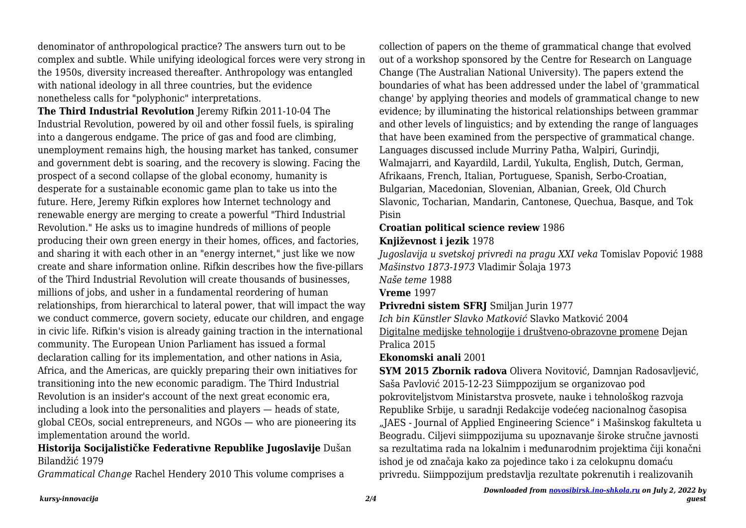denominator of anthropological practice? The answers turn out to be complex and subtle. While unifying ideological forces were very strong in the 1950s, diversity increased thereafter. Anthropology was entangled with national ideology in all three countries, but the evidence nonetheless calls for "polyphonic" interpretations.

**The Third Industrial Revolution** Jeremy Rifkin 2011-10-04 The Industrial Revolution, powered by oil and other fossil fuels, is spiraling into a dangerous endgame. The price of gas and food are climbing, unemployment remains high, the housing market has tanked, consumer and government debt is soaring, and the recovery is slowing. Facing the prospect of a second collapse of the global economy, humanity is desperate for a sustainable economic game plan to take us into the future. Here, Jeremy Rifkin explores how Internet technology and renewable energy are merging to create a powerful "Third Industrial Revolution." He asks us to imagine hundreds of millions of people producing their own green energy in their homes, offices, and factories, and sharing it with each other in an "energy internet," just like we now create and share information online. Rifkin describes how the five-pillars of the Third Industrial Revolution will create thousands of businesses, millions of jobs, and usher in a fundamental reordering of human relationships, from hierarchical to lateral power, that will impact the way we conduct commerce, govern society, educate our children, and engage in civic life. Rifkin's vision is already gaining traction in the international community. The European Union Parliament has issued a formal declaration calling for its implementation, and other nations in Asia, Africa, and the Americas, are quickly preparing their own initiatives for transitioning into the new economic paradigm. The Third Industrial Revolution is an insider's account of the next great economic era, including a look into the personalities and players — heads of state, global CEOs, social entrepreneurs, and NGOs — who are pioneering its implementation around the world.

## **Historija Socijalističke Federativne Republike Jugoslavije** Dušan Bilandžić 1979

*Grammatical Change* Rachel Hendery 2010 This volume comprises a

collection of papers on the theme of grammatical change that evolved out of a workshop sponsored by the Centre for Research on Language Change (The Australian National University). The papers extend the boundaries of what has been addressed under the label of 'grammatical change' by applying theories and models of grammatical change to new evidence; by illuminating the historical relationships between grammar and other levels of linguistics; and by extending the range of languages that have been examined from the perspective of grammatical change. Languages discussed include Murriny Patha, Walpiri, Gurindji, Walmajarri, and Kayardild, Lardil, Yukulta, English, Dutch, German, Afrikaans, French, Italian, Portuguese, Spanish, Serbo-Croatian, Bulgarian, Macedonian, Slovenian, Albanian, Greek, Old Church Slavonic, Tocharian, Mandarin, Cantonese, Quechua, Basque, and Tok Pisin

#### **Croatian political science review** 1986

# **Književnost i jezik** 1978

*Jugoslavija u svetskoj privredi na pragu XXI veka* Tomislav Popović 1988 *Mašinstvo 1873-1973* Vladimir Šolaja 1973

*Naše teme* 1988

**Vreme** 1997

**Privredni sistem SFRJ** Smiljan Jurin 1977

*Ich bin Künstler Slavko Matković* Slavko Matković 2004 Digitalne medijske tehnologije i društveno-obrazovne promene Dejan Pralica 2015

**Ekonomski anali** 2001

**SYM 2015 Zbornik radova** Olivera Novitović, Damnjan Radosavljević, Saša Pavlović 2015-12-23 Siimppozijum se organizovao pod pokroviteljstvom Ministarstva prosvete, nauke i tehnološkog razvoja Republike Srbije, u saradnji Redakcije vodećeg nacionalnog časopisa "JAES - Journal of Applied Engineering Science" i Mašinskog fakulteta u Beogradu. Ciljevi siimppozijuma su upoznavanje široke stručne javnosti sa rezultatima rada na lokalnim i međunarodnim projektima čiji konačni ishod je od značaja kako za pojedince tako i za celokupnu domaću privredu. Siimppozijum predstavlja rezultate pokrenutih i realizovanih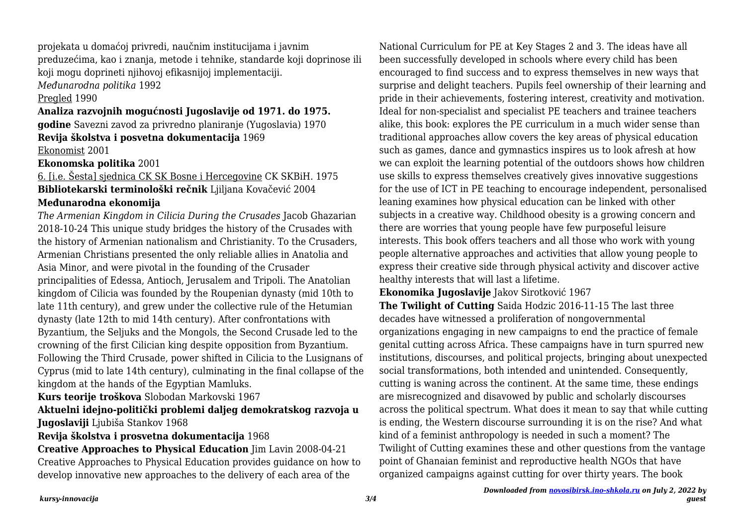projekata u domaćoj privredi, naučnim institucijama i javnim preduzećima, kao i znanja, metode i tehnike, standarde koji doprinose ili koji mogu doprineti njihovoj efikasnijoj implementaciji.

*Međunarodna politika* 1992

#### Pregled 1990

#### **Analiza razvojnih mogućnosti Jugoslavije od 1971. do 1975.**

**godine** Savezni zavod za privredno planiranje (Yugoslavia) 1970 **Revija školstva i posvetna dokumentacija** 1969

Ekonomist 2001

**Ekonomska politika** 2001

# 6. [i.e. Šesta] sjednica CK SK Bosne i Hercegovine CK SKBiH. 1975 **Bibliotekarski terminološki rečnik** Ljiljana Kovačević 2004

## **Međunarodna ekonomija**

*The Armenian Kingdom in Cilicia During the Crusades* Jacob Ghazarian 2018-10-24 This unique study bridges the history of the Crusades with the history of Armenian nationalism and Christianity. To the Crusaders, Armenian Christians presented the only reliable allies in Anatolia and Asia Minor, and were pivotal in the founding of the Crusader principalities of Edessa, Antioch, Jerusalem and Tripoli. The Anatolian kingdom of Cilicia was founded by the Roupenian dynasty (mid 10th to late 11th century), and grew under the collective rule of the Hetumian dynasty (late 12th to mid 14th century). After confrontations with Byzantium, the Seljuks and the Mongols, the Second Crusade led to the crowning of the first Cilician king despite opposition from Byzantium. Following the Third Crusade, power shifted in Cilicia to the Lusignans of Cyprus (mid to late 14th century), culminating in the final collapse of the kingdom at the hands of the Egyptian Mamluks.

#### **Kurs teorije troškova** Slobodan Markovski 1967

**Aktuelni idejno-politički problemi daljeg demokratskog razvoja u Jugoslaviji** Ljubiša Stankov 1968

#### **Revija školstva i prosvetna dokumentacija** 1968

**Creative Approaches to Physical Education** Jim Lavin 2008-04-21 Creative Approaches to Physical Education provides guidance on how to develop innovative new approaches to the delivery of each area of the

National Curriculum for PE at Key Stages 2 and 3. The ideas have all been successfully developed in schools where every child has been encouraged to find success and to express themselves in new ways that surprise and delight teachers. Pupils feel ownership of their learning and pride in their achievements, fostering interest, creativity and motivation. Ideal for non-specialist and specialist PE teachers and trainee teachers alike, this book: explores the PE curriculum in a much wider sense than traditional approaches allow covers the key areas of physical education such as games, dance and gymnastics inspires us to look afresh at how we can exploit the learning potential of the outdoors shows how children use skills to express themselves creatively gives innovative suggestions for the use of ICT in PE teaching to encourage independent, personalised leaning examines how physical education can be linked with other subjects in a creative way. Childhood obesity is a growing concern and there are worries that young people have few purposeful leisure interests. This book offers teachers and all those who work with young people alternative approaches and activities that allow young people to express their creative side through physical activity and discover active healthy interests that will last a lifetime.

## **Ekonomika Jugoslavije** Jakov Sirotković 1967

**The Twilight of Cutting** Saida Hodzic 2016-11-15 The last three decades have witnessed a proliferation of nongovernmental organizations engaging in new campaigns to end the practice of female genital cutting across Africa. These campaigns have in turn spurred new institutions, discourses, and political projects, bringing about unexpected social transformations, both intended and unintended. Consequently, cutting is waning across the continent. At the same time, these endings are misrecognized and disavowed by public and scholarly discourses across the political spectrum. What does it mean to say that while cutting is ending, the Western discourse surrounding it is on the rise? And what kind of a feminist anthropology is needed in such a moment? The Twilight of Cutting examines these and other questions from the vantage point of Ghanaian feminist and reproductive health NGOs that have organized campaigns against cutting for over thirty years. The book